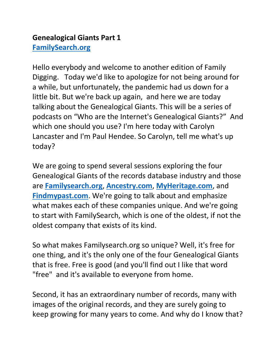## **Genealogical Giants Part 1 [FamilySearch.org](https://familysearch.org/)**

Hello everybody and welcome to another edition of Family Digging. Today we'd like to apologize for not being around for a while, but unfortunately, the pandemic had us down for a little bit. But we're back up again, and here we are today talking about the Genealogical Giants. This will be a series of podcasts on "Who are the Internet's Genealogical Giants?" And which one should you use? I'm here today with Carolyn Lancaster and I'm Paul Hendee. So Carolyn, tell me what's up today?

We are going to spend several sessions exploring the four Genealogical Giants of the records database industry and those are **[Familysearch.org](https://familysearch.org/)**, **[Ancestry.com](https://ancestry.com/)**, **[MyHeritage.com](https://myheritage.com/)**, and **[Findmypast.com](https://findmypast.com/)**. We're going to talk about and emphasize what makes each of these companies unique. And we're going to start with FamilySearch, which is one of the oldest, if not the oldest company that exists of its kind.

So what makes Familysearch.org so unique? Well, it's free for one thing, and it's the only one of the four Genealogical Giants that is free. Free is good (and you'll find out I like that word "free" and it's available to everyone from home.

Second, it has an extraordinary number of records, many with images of the original records, and they are surely going to keep growing for many years to come. And why do I know that?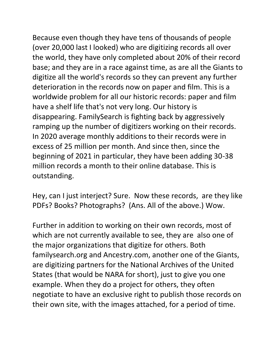Because even though they have tens of thousands of people (over 20,000 last I looked) who are digitizing records all over the world, they have only completed about 20% of their record base; and they are in a race against time, as are all the Giants to digitize all the world's records so they can prevent any further deterioration in the records now on paper and film. This is a worldwide problem for all our historic records: paper and film have a shelf life that's not very long. Our history is disappearing. FamilySearch is fighting back by aggressively ramping up the number of digitizers working on their records. In 2020 average monthly additions to their records were in excess of 25 million per month. And since then, since the beginning of 2021 in particular, they have been adding 30-38 million records a month to their online database. This is outstanding.

Hey, can I just interject? Sure. Now these records, are they like PDFs? Books? Photographs? (Ans. All of the above.) Wow.

Further in addition to working on their own records, most of which are not currently available to see, they are also one of the major organizations that digitize for others. Both familysearch.org and Ancestry.com, another one of the Giants, are digitizing partners for the National Archives of the United States (that would be NARA for short), just to give you one example. When they do a project for others, they often negotiate to have an exclusive right to publish those records on their own site, with the images attached, for a period of time.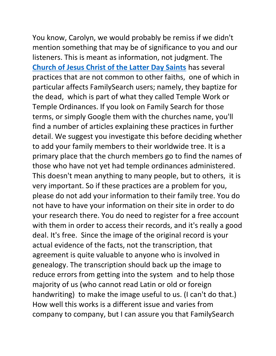You know, Carolyn, we would probably be remiss if we didn't mention something that may be of significance to you and our listeners. This is meant as information, not judgment. The **[Church of Jesus Christ of the Latter Day Saints](https://www.churchofjesuschrist.org/?lang=eng)** has several practices that are not common to other faiths, one of which in particular affects FamilySearch users; namely, they baptize for the dead, which is part of what they called Temple Work or Temple Ordinances. If you look on Family Search for those terms, or simply Google them with the churches name, you'll find a number of articles explaining these practices in further detail. We suggest you investigate this before deciding whether to add your family members to their worldwide tree. It is a primary place that the church members go to find the names of those who have not yet had temple ordinances administered. This doesn't mean anything to many people, but to others, it is very important. So if these practices are a problem for you, please do not add your information to their family tree. You do not have to have your information on their site in order to do your research there. You do need to register for a free account with them in order to access their records, and it's really a good deal. It's free. Since the image of the original record is your actual evidence of the facts, not the transcription, that agreement is quite valuable to anyone who is involved in genealogy. The transcription should back up the image to reduce errors from getting into the system and to help those majority of us (who cannot read Latin or old or foreign handwriting) to make the image useful to us. (I can't do that.) How well this works is a different issue and varies from company to company, but I can assure you that FamilySearch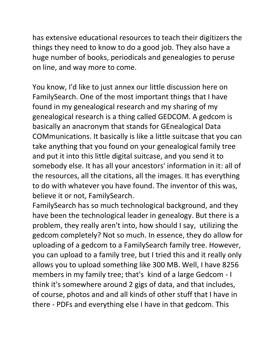has extensive educational resources to teach their digitizers the things they need to know to do a good job. They also have a huge number of books, periodicals and genealogies to peruse on line, and way more to come.

You know, I'd like to just annex our little discussion here on FamilySearch. One of the most important things that I have found in my genealogical research and my sharing of my genealogical research is a thing called GEDCOM. A gedcom is basically an anacronym that stands for GEnealogical Data COMmunications. It basically is like a little suitcase that you can take anything that you found on your genealogical family tree and put it into this little digital suitcase, and you send it to somebody else. It has all your ancestors' information in it: all of the resources, all the citations, all the images. It has everything to do with whatever you have found. The inventor of this was, believe it or not, FamilySearch.

FamilySearch has so much technological background, and they have been the technological leader in genealogy. But there is a problem, they really aren't into, how should I say, utilizing the gedcom completely? Not so much. In essence, they do allow for uploading of a gedcom to a FamilySearch family tree. However, you can upload to a family tree, but I tried this and it really only allows you to upload something like 300 MB. Well, I have 8256 members in my family tree; that's kind of a large Gedcom - I think it's somewhere around 2 gigs of data, and that includes, of course, photos and and all kinds of other stuff that I have in there - PDFs and everything else I have in that gedcom. This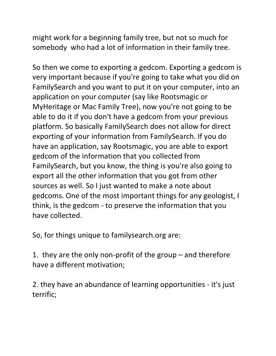might work for a beginning family tree, but not so much for somebody who had a lot of information in their family tree.

So then we come to exporting a gedcom. Exporting a gedcom is very important because if you're going to take what you did on FamilySearch and you want to put it on your computer, into an application on your computer (say like Rootsmagic or MyHeritage or Mac Family Tree), now you're not going to be able to do it if you don't have a gedcom from your previous platform. So basically FamilySearch does not allow for direct exporting of your information from FamilySearch. If you do have an application, say Rootsmagic, you are able to export gedcom of the information that you collected from FamilySearch, but you know, the thing is you're also going to export all the other information that you got from other sources as well. So I just wanted to make a note about gedcoms. One of the most important things for any geologist, I think, is the gedcom - to preserve the information that you have collected.

So, for things unique to familysearch.org are:

1. they are the only non-profit of the group – and therefore have a different motivation;

2. they have an abundance of learning opportunities - it's just terrific;